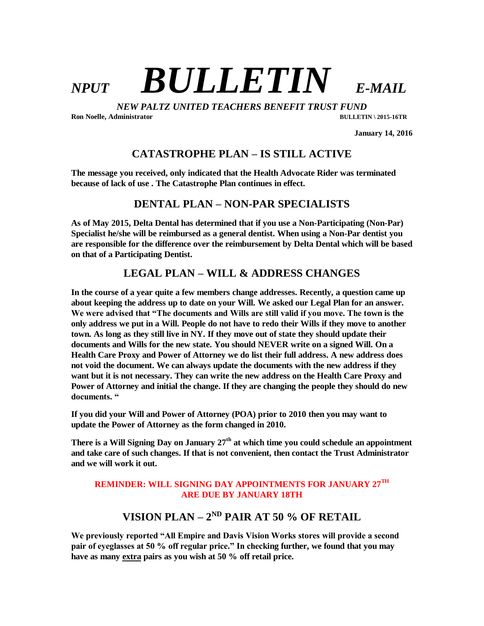# *NPUT BULLETIN E-MAIL*

*NEW PALTZ UNITED TEACHERS BENEFIT TRUST FUND* **Ron Noelle, Administrator BULLETIN \ 2015-16TR**

 **January 14, 2016**

### **CATASTROPHE PLAN – IS STILL ACTIVE**

**The message you received, only indicated that the Health Advocate Rider was terminated because of lack of use . The Catastrophe Plan continues in effect.**

#### **DENTAL PLAN – NON-PAR SPECIALISTS**

**As of May 2015, Delta Dental has determined that if you use a Non-Participating (Non-Par) Specialist he/she will be reimbursed as a general dentist. When using a Non-Par dentist you are responsible for the difference over the reimbursement by Delta Dental which will be based on that of a Participating Dentist.** 

### **LEGAL PLAN – WILL & ADDRESS CHANGES**

**In the course of a year quite a few members change addresses. Recently, a question came up about keeping the address up to date on your Will. We asked our Legal Plan for an answer. We were advised that "The documents and Wills are still valid if you move. The town is the only address we put in a Will. People do not have to redo their Wills if they move to another town. As long as they still live in NY. If they move out of state they should update their documents and Wills for the new state. You should NEVER write on a signed Will. On a Health Care Proxy and Power of Attorney we do list their full address. A new address does not void the document. We can always update the documents with the new address if they want but it is not necessary. They can write the new address on the Health Care Proxy and Power of Attorney and initial the change. If they are changing the people they should do new documents. "**

**If you did your Will and Power of Attorney (POA) prior to 2010 then you may want to update the Power of Attorney as the form changed in 2010.** 

**There is a Will Signing Day on January 27th at which time you could schedule an appointment and take care of such changes. If that is not convenient, then contact the Trust Administrator and we will work it out.** 

#### **REMINDER: WILL SIGNING DAY APPOINTMENTS FOR JANUARY 27TH ARE DUE BY JANUARY 18TH**

## **VISION PLAN – 2<sup>ND</sup> PAIR AT 50 % OF RETAIL**

**We previously reported "All Empire and Davis Vision Works stores will provide a second pair of eyeglasses at 50 % off regular price." In checking further, we found that you may have as many extra pairs as you wish at 50 % off retail price.**